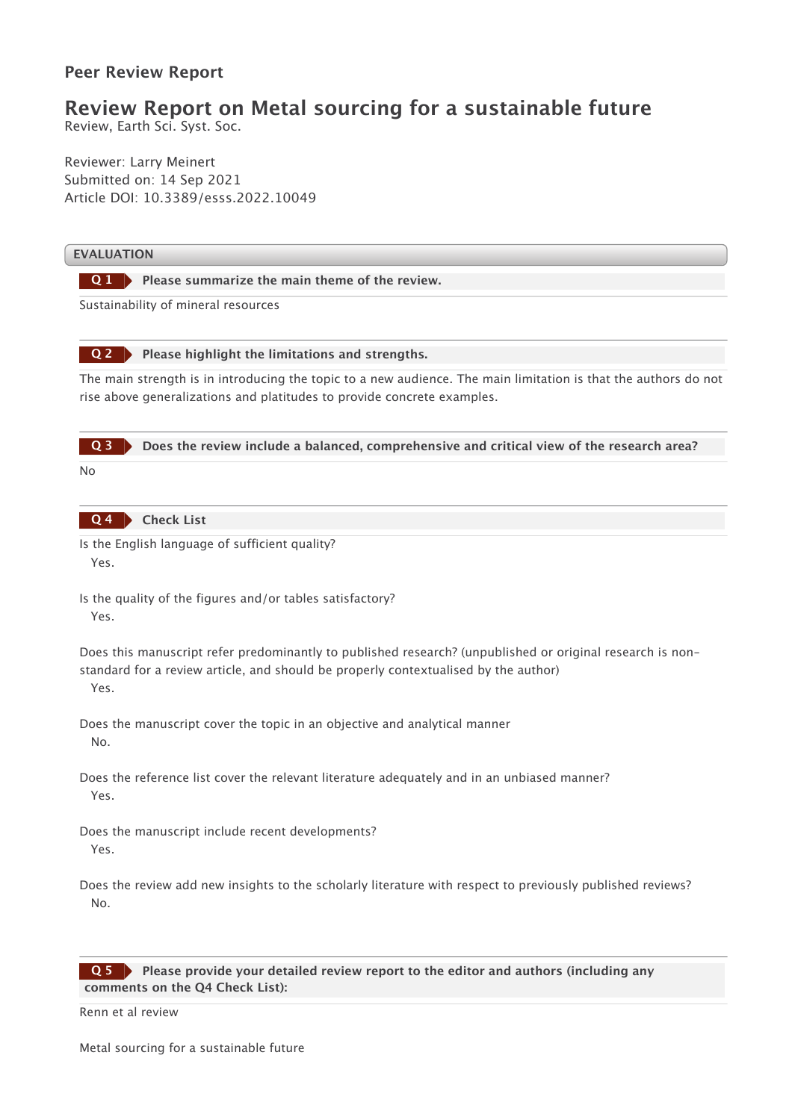## **Peer Review Report**

## **Review Report on Metal sourcing for a sustainable future**

Review, Earth Sci. Syst. Soc.

Reviewer: Larry Meinert Submitted on: 14 Sep 2021 Article DOI: 10.3389/esss.2022.10049

## **EVALUATION**

**Please summarize the main theme of the review. Q 1**

Sustainability of mineral resources



The main strength is in introducing the topic to a new audience. The main limitation is that the authors do not rise above generalizations and platitudes to provide concrete examples.



**Check List Q 4**

Is the English language of sufficient quality? Yes.

Does this manuscript refer predominantly to published research? (unpublished or original research is nonstandard for a review article, and should be properly contextualised by the author) Yes.

Does the manuscript cover the topic in an objective and analytical manner No.

Does the reference list cover the relevant literature adequately and in an unbiased manner? Yes.

Does the manuscript include recent developments? Yes.

Does the review add new insights to the scholarly literature with respect to previously published reviews? No.

## **Please provide your detailed review report to the editor and authors (including any comments on the Q4 Check List): Q 5**

Renn et al review

Is the quality of the figures and/or tables satisfactory? Yes.